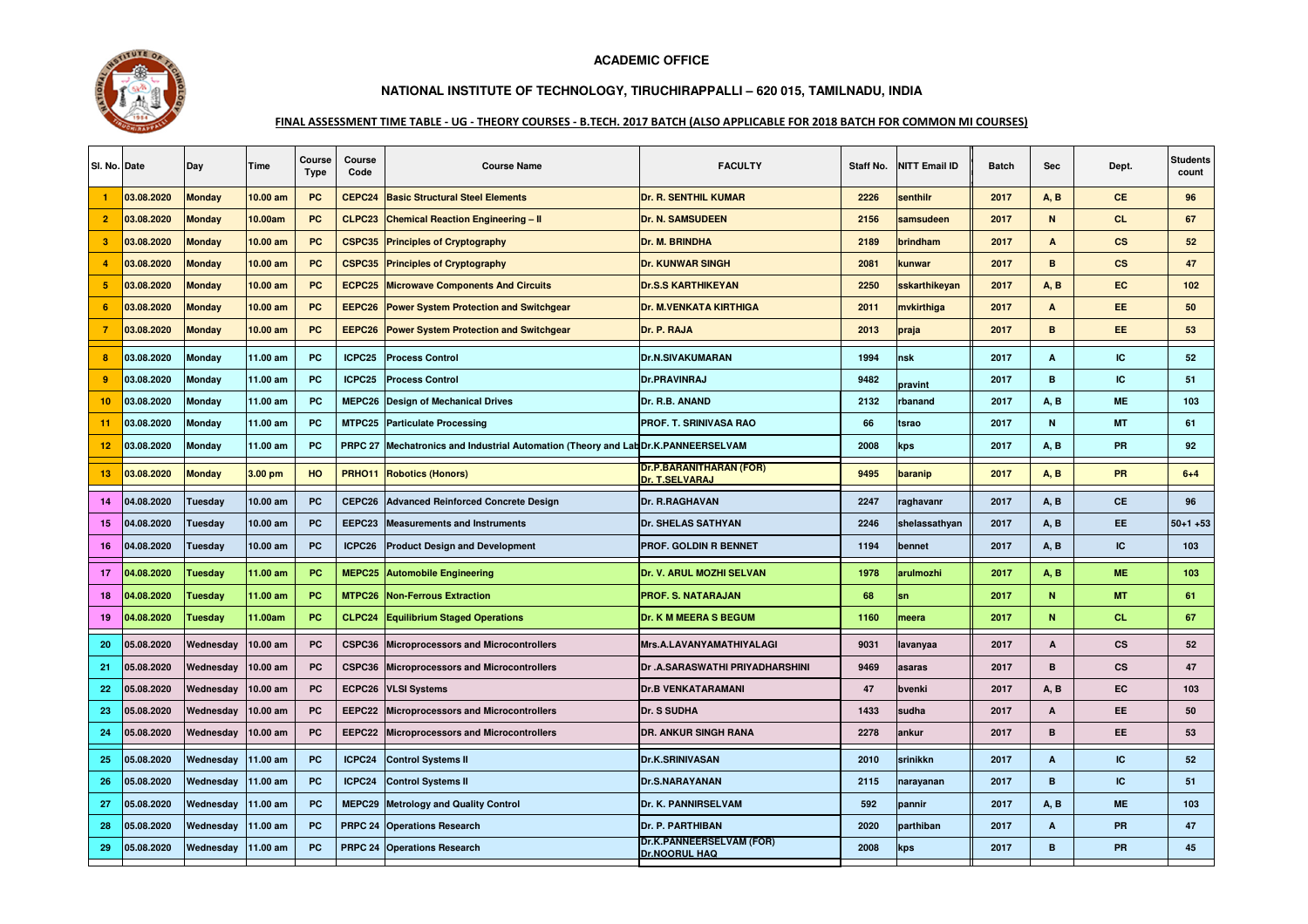



## **NATIONAL INSTITUTE OF TECHNOLOGY, TIRUCHIRAPPALLI – 620 015, TAMILNADU, INDIA**

## FINAL ASSESSMENT TIME TABLE - UG - THEORY COURSES - B.TECH. 2017 BATCH (ALSO APPLICABLE FOR 2018 BATCH FOR COMMON MI COURSES)

| SI. No. Date   |            | Day           | Time               | Course<br><b>Type</b> | Course<br>Code     | <b>Course Name</b>                                                       | <b>FACULTY</b>                                   | Staff No. | <b>NITT Email ID</b> | <b>Batch</b> | Sec          | Dept.                  | <b>Students</b><br>count |
|----------------|------------|---------------|--------------------|-----------------------|--------------------|--------------------------------------------------------------------------|--------------------------------------------------|-----------|----------------------|--------------|--------------|------------------------|--------------------------|
|                | 03.08.2020 | <b>Monday</b> | 10.00 am           | <b>PC</b>             | CEPC24             | <b>Basic Structural Steel Elements</b>                                   | <b>Dr. R. SENTHIL KUMAR</b>                      | 2226      | senthilr             | 2017         | A. B         | <b>CE</b>              | 96                       |
| 2              | 03.08.2020 | <b>Monday</b> | 10.00am            | <b>PC</b>             | CLPC23             | <b>Chemical Reaction Engineering - II</b>                                | <b>Dr. N. SAMSUDEEN</b>                          | 2156      | samsudeen            | 2017         | N            | <b>CL</b>              | 67                       |
| 3              | 03.08.2020 | <b>Monday</b> | 10.00 am           | PC                    | CSPC35             | <b>Principles of Cryptography</b>                                        | Dr. M. BRINDHA                                   | 2189      | brindham             | 2017         | A            | $\mathbf{c}\mathbf{s}$ | 52                       |
| $\overline{4}$ | 03.08.2020 | <b>Monday</b> | $10.00$ am         | PC                    | CSPC35             | <b>Principles of Cryptography</b>                                        | <b>Dr. KUNWAR SINGH</b>                          | 2081      | kunwar               | 2017         | B            | $\mathsf{cs}$          | 47                       |
| 5              | 03.08.2020 | <b>Monday</b> | 10.00 am           | PC                    | ECPC <sub>25</sub> | <b>Microwave Components And Circuits</b>                                 | <b>Dr.S.S KARTHIKEYAN</b>                        | 2250      | sskarthikeyan        | 2017         | <b>A, B</b>  | <b>EC</b>              | 102                      |
| 6              | 03.08.2020 | <b>Monday</b> | 10.00 am           | <b>PC</b>             | EEPC <sub>26</sub> | <b>Power System Protection and Switchgear</b>                            | <b>Dr. M.VENKATA KIRTHIGA</b>                    | 2011      | mvkirthiga           | 2017         | A            | EE.                    | 50                       |
| -7             | 03.08.2020 | <b>Monday</b> | 10.00 am           | PC                    | EEPC26             | <b>Power System Protection and Switchgear</b>                            | Dr. P. RAJA                                      | 2013      | praja                | 2017         | B            | EE                     | 53                       |
| 8              | 03.08.2020 | Monday        | 11.00 am           | <b>PC</b>             | ICPC25             | <b>Process Control</b>                                                   | <b>Dr.N.SIVAKUMARAN</b>                          | 1994      | nsk                  | 2017         | A            | IC.                    | 52                       |
| $\overline{9}$ | 03.08.2020 | <b>Monday</b> | 11.00 am           | PC                    | ICPC25             | <b>Process Control</b>                                                   | <b>Dr.PRAVINRAJ</b>                              | 9482      | oravint              | 2017         | B            | IC.                    | 51                       |
| 10             | 03.08.2020 | Monday        | 11.00 am           | PC                    | MEPC26             | <b>Design of Mechanical Drives</b>                                       | Dr. R.B. ANAND                                   | 2132      | rbanand              | 2017         | A, B         | <b>ME</b>              | 103                      |
| 11             | 03.08.2020 | Monday        | 11.00 am           | PC                    |                    | <b>MTPC25</b> Particulate Processing                                     | <b>PROF. T. SRINIVASA RAO</b>                    | 66        | tsrao                | 2017         | $\mathsf{N}$ | <b>MT</b>              | 61                       |
| 12             | 03.08.2020 | Monday        | 11.00 am           | PC                    | <b>PRPC 27</b>     | Mechatronics and Industrial Automation (Theory and LabDr.K.PANNEERSELVAM |                                                  | 2008      | kps                  | 2017         | A, B         | PR                     | 92                       |
| 13             | 03.08.2020 | <b>Monday</b> | 3.00 <sub>pm</sub> | HO                    | <b>PRHO11</b>      | <b>Robotics (Honors)</b>                                                 | <b>Dr.P.BARANITHARAN (FOR)</b><br>Dr. T.SELVARAJ | 9495      | baranip              | 2017         | <b>A.B.</b>  | <b>PR</b>              | $6 + 4$                  |
| 14             | 04.08.2020 | Tuesday       | 10.00 am           | <b>PC</b>             | CEPC26             | <b>Advanced Reinforced Concrete Design</b>                               | <b>Dr. R.RAGHAVAN</b>                            | 2247      | raghavanr            | 2017         | A, B         | <b>CE</b>              | 96                       |
| 15             | 04.08.2020 | Tuesday       | 10.00 am           | <b>PC</b>             | EEPC <sub>23</sub> | <b>Measurements and Instruments</b>                                      | <b>Dr. SHELAS SATHYAN</b>                        | 2246      | shelassathyan        | 2017         | A, B         | EE.                    | $50+1+53$                |
| 16             | 04.08.2020 | Tuesday       | 10.00 am           | PC                    | ICPC26             | <b>Product Design and Development</b>                                    | PROF. GOLDIN R BENNET                            | 1194      | bennet               | 2017         | A, B         | IC.                    | 103                      |
| 17             | 04.08.2020 | Tuesdav       | 11.00 am           | <b>PC</b>             | MEPC25             | <b>Automobile Engineering</b>                                            | <b>Dr. V. ARUL MOZHI SELVAN</b>                  | 1978      | arulmozhi            | 2017         | A, B         | <b>ME</b>              | 103                      |
| 18             | 04.08.2020 | Tuesday       | 11.00 am           | PC                    | MTPC26             | <b>Non-Ferrous Extraction</b>                                            | <b>PROF. S. NATARAJAN</b>                        | 68        | sn                   | 2017         | N            | <b>MT</b>              | 61                       |
| 19             | 04.08.2020 | Tuesday       | 11.00am            | PC                    | CLPC24             | <b>Equilibrium Staged Operations</b>                                     | <b>Dr. K M MEERA S BEGUM</b>                     | 1160      | meera                | 2017         | N            | CL.                    | 67                       |
| 20             | 05.08.2020 | Wednesday     | 10.00 am           | PC                    | CSPC36             | <b>Microprocessors and Microcontrollers</b>                              | Mrs.A.LAVANYAMATHIYALAGI                         | 9031      | lavanyaa             | 2017         | A            | <b>CS</b>              | 52                       |
| 21             | 05.08.2020 | Wednesday     | 10.00 am           | PC                    | CSPC36             | <b>Microprocessors and Microcontrollers</b>                              | Dr .A.SARASWATHI PRIYADHARSHINI                  | 9469      | asaras               | 2017         | B            | $\mathsf{cs}$          | 47                       |
| 22             | 05.08.2020 | Wednesday     | 10.00 am           | PC                    | ECPC26             | <b>VLSI Systems</b>                                                      | <b>Dr.B VENKATARAMANI</b>                        | 47        | bvenki               | 2017         | A, B         | EC                     | 103                      |
| 23             | 05.08.2020 | Wednesdav     | 10.00 am           | PC                    | EEPC22             | <b>Microprocessors and Microcontrollers</b>                              | <b>Dr. S SUDHA</b>                               | 1433      | sudha                | 2017         | A            | <b>EE</b>              | 50                       |
| 24             | 05.08.2020 | Wednesday     | 10.00 am           | PC                    | EEPC22             | <b>Microprocessors and Microcontrollers</b>                              | <b>DR. ANKUR SINGH RANA</b>                      | 2278      | ankur                | 2017         | B            | EE.                    | 53                       |
| 25             | 05.08.2020 | Wednesdav     | 11.00 am           | PC                    | ICPC24             | <b>Control Systems II</b>                                                | <b>Dr.K.SRINIVASAN</b>                           | 2010      | srinikkn             | 2017         | A            | IC.                    | 52                       |
| 26             | 05.08.2020 | Wednesday     | 11.00 am           | <b>PC</b>             | ICPC24             | <b>Control Systems II</b>                                                | <b>Dr.S.NARAYANAN</b>                            | 2115      | narayanan            | 2017         | B            | IC                     | 51                       |
| 27             | 05.08.2020 | Wednesday     | 11.00 am           | PC                    | MEPC29             | <b>Metrology and Quality Control</b>                                     | Dr. K. PANNIRSELVAM                              | 592       | pannir               | 2017         | A, B         | <b>ME</b>              | 103                      |
| 28             | 05.08.2020 | Wednesday     | 11.00 am           | <b>PC</b>             | <b>PRPC 24</b>     | <b>Operations Research</b>                                               | <b>Dr. P. PARTHIBAN</b>                          | 2020      | parthiban            | 2017         | A            | PR                     | 47                       |
| 29             | 05.08.2020 | Wednesday     | 11.00 am           | PC                    |                    | PRPC 24 Operations Research                                              | Dr.K.PANNEERSELVAM (FOR)<br>Dr.NOORUL HAQ        | 2008      | kps                  | 2017         | В            | PR                     | 45                       |
|                |            |               |                    |                       |                    |                                                                          |                                                  |           |                      |              |              |                        |                          |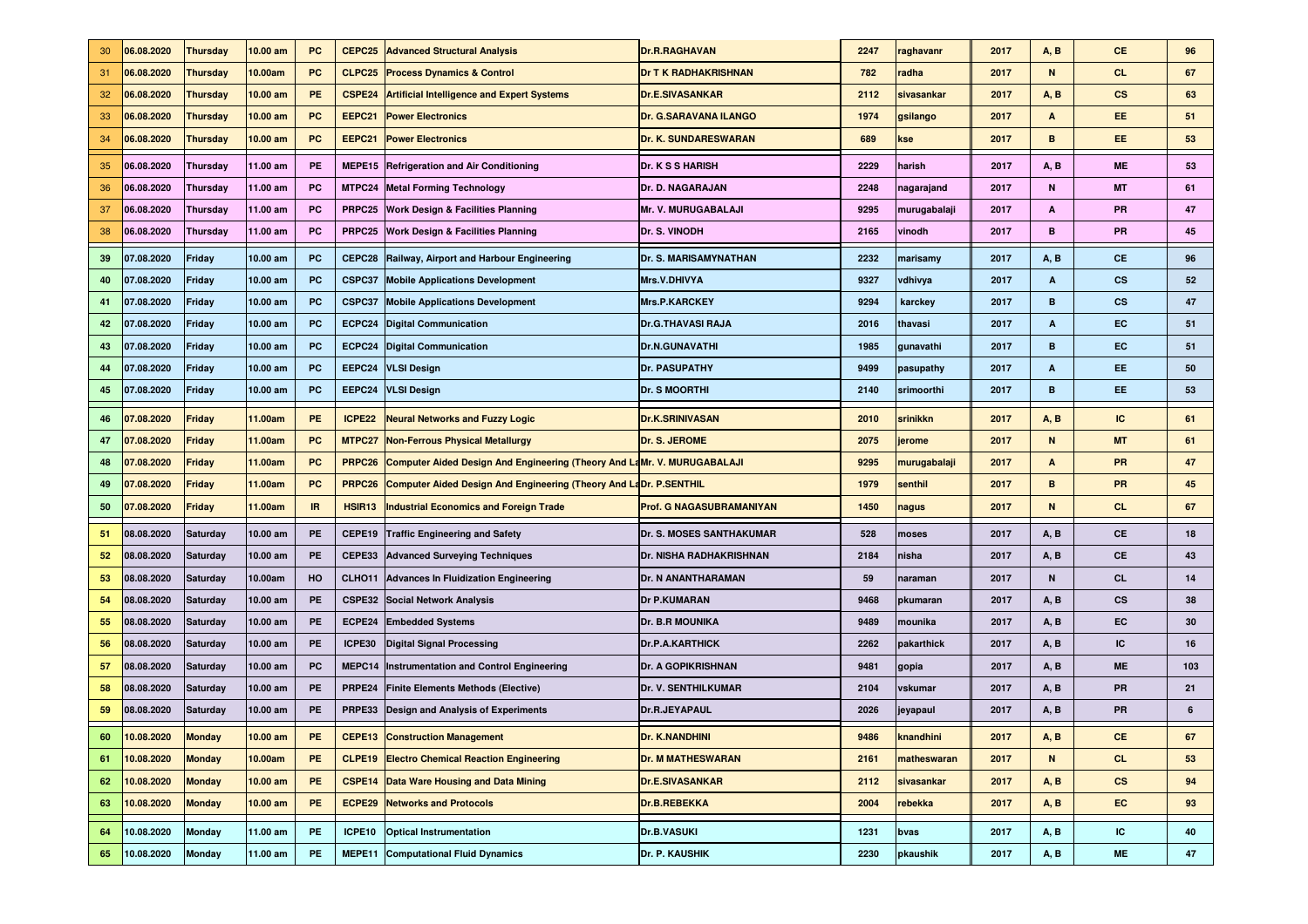| 30 | 06.08.2020    | <b>Thursday</b> | 10.00 am   | <b>PC</b> | CEPC <sub>25</sub> | <b>Advanced Structural Analysis</b>                                            | Dr.R.RAGHAVAN                   | 2247 | raghavanr    | 2017 | A, B | CE.                    | 96  |
|----|---------------|-----------------|------------|-----------|--------------------|--------------------------------------------------------------------------------|---------------------------------|------|--------------|------|------|------------------------|-----|
| 31 | 06.08.2020    | <b>Thursday</b> | 10.00am    | PC        | CLPC <sub>25</sub> | <b>Process Dynamics &amp; Control</b>                                          | <b>Dr T K RADHAKRISHNAN</b>     | 782  | radha        | 2017 | N    | CL.                    | 67  |
| 32 | 06.08.2020    | <b>Thursday</b> | 10.00 am   | PE.       | CSPE24             | <b>Artificial Intelligence and Expert Systems</b>                              | <b>Dr.E.SIVASANKAR</b>          | 2112 | sivasankar   | 2017 | A, B | cs                     | 63  |
| 33 | 06.08.2020    | <b>Thursday</b> | 10.00 am   | <b>PC</b> | EEPC21             | <b>Power Electronics</b>                                                       | <b>Dr. G.SARAVANA ILANGO</b>    | 1974 | gsilango     | 2017 | А    | EE.                    | 51  |
| 34 | 06.08.2020    | <b>Thursday</b> | 10.00 am   | <b>PC</b> | EEPC21             | <b>Power Electronics</b>                                                       | Dr. K. SUNDARESWARAN            | 689  | kse          | 2017 | в    | EE.                    | 53  |
| 35 | 06.08.2020    | <b>Thursday</b> | 11.00 am   | <b>PE</b> | MEPE15             | <b>Refrigeration and Air Conditioning</b>                                      | <b>Dr. K S S HARISH</b>         | 2229 | harish       | 2017 | A, B | <b>ME</b>              | 53  |
| 36 | 06.08.2020    | <b>Thursday</b> | 11.00 am   | <b>PC</b> |                    | <b>MTPC24 Metal Forming Technology</b>                                         | Dr. D. NAGARAJAN                | 2248 | nagarajand   | 2017 | N    | <b>MT</b>              | 61  |
| 37 | 06.08.2020    | <b>Thursday</b> | 11.00 am   | <b>PC</b> |                    | PRPC25 Work Design & Facilities Planning                                       | Mr. V. MURUGABALAJI             | 9295 | murugabalaji | 2017 | Α    | <b>PR</b>              | 47  |
| 38 | 06.08.2020    | <b>Thursday</b> | 11.00 am   | PC        | PRPC <sub>25</sub> | <b>Work Design &amp; Facilities Planning</b>                                   | Dr. S. VINODH                   | 2165 | vinodh       | 2017 | в    | <b>PR</b>              | 45  |
| 39 | 07.08.2020    | Friday          | 10.00 am   | <b>PC</b> | CEPC28             | Railway, Airport and Harbour Engineering                                       | Dr. S. MARISAMYNATHAN           | 2232 | marisamy     | 2017 | A, B | <b>CE</b>              | 96  |
| 40 | 07.08.2020    | Friday          | 10.00 am   | PC        | CSPC37             | <b>Mobile Applications Development</b>                                         | <b>Mrs.V.DHIVYA</b>             | 9327 | vdhivya      | 2017 | А    | $\mathbf{c}\mathbf{s}$ | 52  |
| 41 | 07.08.2020    | Friday          | 10.00 am   | <b>PC</b> | CSPC37             | <b>Mobile Applications Development</b>                                         | <b>Mrs.P.KARCKEY</b>            | 9294 | karckey      | 2017 | в    | <b>CS</b>              | 47  |
| 42 | 07.08.2020    | Friday          | 10.00 am   | PC        | ECPC24             | <b>Digital Communication</b>                                                   | <b>Dr.G.THAVASI RAJA</b>        | 2016 | thavasi      | 2017 | А    | EC.                    | 51  |
| 43 | 07.08.2020    | Friday          | 10.00 am   | <b>PC</b> |                    | <b>ECPC24</b> Digital Communication                                            | <b>Dr.N.GUNAVATHI</b>           | 1985 | gunavathi    | 2017 | в    | EC                     | 51  |
| 44 | 07.08.2020    | Friday          | 10.00 am   | <b>PC</b> | EEPC24             | <b>VLSI Design</b>                                                             | Dr. PASUPATHY                   | 9499 | pasupathy    | 2017 | А    | EE.                    | 50  |
| 45 | 07.08.2020    | Friday          | 10.00 am   | <b>PC</b> | EEPC24             | <b>VLSI Design</b>                                                             | <b>Dr. S MOORTHI</b>            | 2140 | srimoorthi   | 2017 | в    | EE.                    | 53  |
| 46 | 07.08.2020    | <b>Friday</b>   | 11.00am    | <b>PE</b> | ICPE22             | <b>Neural Networks and Fuzzy Logic</b>                                         | <b>Dr.K.SRINIVASAN</b>          | 2010 | srinikkn     | 2017 | A, B | <b>IC</b>              | 61  |
| 47 | 07.08.2020    | <b>Friday</b>   | 11.00am    | <b>PC</b> |                    | <b>MTPC27 Non-Ferrous Physical Metallurgy</b>                                  | Dr. S. JEROME                   | 2075 | jerome       | 2017 | N    | <b>MT</b>              | 61  |
| 48 | 07.08.2020    | Friday          | 11.00am    | <b>PC</b> | PRPC <sub>26</sub> | <b>Computer Aided Design And Engineering (Theory And LaMr. V. MURUGABALAJI</b> |                                 | 9295 | murugabalaji | 2017 | А    | PR                     | 47  |
| 49 | 07.08.2020    | <b>Friday</b>   | 11.00am    | <b>PC</b> | PRPC <sub>26</sub> | <b>Computer Aided Design And Engineering (Theory And LaDr. P.SENTHIL</b>       |                                 | 1979 | senthil      | 2017 | B    | PR                     | 45  |
| 50 | 07.08.2020    | <b>Friday</b>   | 11.00am    | IR.       | HSIR <sub>13</sub> | <b>Industrial Economics and Foreign Trade</b>                                  | <b>Prof. G NAGASUBRAMANIYAN</b> | 1450 | nagus        | 2017 | N    | CL.                    | 67  |
| 51 | 08.08.2020    | <b>Saturday</b> | 10.00 am   | PE        | CEPE19             | <b>Traffic Engineering and Safety</b>                                          | <b>Dr. S. MOSES SANTHAKUMAR</b> | 528  | moses        | 2017 | A, B | <b>CE</b>              | 18  |
| 52 | 08.08.2020    | <b>Saturday</b> | 10.00 am   | PE        | CEPE33             | <b>Advanced Surveying Techniques</b>                                           | <b>Dr. NISHA RADHAKRISHNAN</b>  | 2184 | nisha        | 2017 | A, B | CE                     | 43  |
| 53 | 08.08.2020    | Saturday        | 10.00am    | HO        | CLHO11             | <b>Advances In Fluidization Engineering</b>                                    | <b>Dr. N ANANTHARAMAN</b>       | 59   | naraman      | 2017 | N    | <b>CL</b>              | 14  |
| 54 | 08.08.2020    | <b>Saturday</b> | 10.00 am   | PE        |                    | <b>CSPE32 Social Network Analysis</b>                                          | <b>Dr P.KUMARAN</b>             | 9468 | pkumaran     | 2017 | A, B | <b>CS</b>              | 38  |
| 55 | 08.08.2020    | <b>Saturday</b> | 10.00 am   | <b>PE</b> | ECPE24             | <b>Embedded Systems</b>                                                        | <b>Dr. B.R MOUNIKA</b>          | 9489 | mounika      | 2017 | A, B | EC                     | 30  |
| 56 | 08.08.2020    | <b>Saturday</b> | 10.00 am   | PE        | ICPE30             | <b>Digital Signal Processing</b>                                               | <b>Dr.P.A.KARTHICK</b>          | 2262 | pakarthick   | 2017 | A, B | IC                     | 16  |
| 57 | 08.08.2020    | <b>Saturday</b> | 10.00 am   | PC        |                    | MEPC14 Instrumentation and Control Engineering                                 | Dr. A GOPIKRISHNAN              | 9481 | gopia        | 2017 | A, B | <b>ME</b>              | 103 |
| 58 | 08.08.2020    | <b>Saturday</b> | 10.00 am   | PE        | PRPE24             | <b>Finite Elements Methods (Elective)</b>                                      | Dr. V. SENTHILKUMAR             | 2104 | vskumar      | 2017 | A, B | <b>PR</b>              | 21  |
| 59 | 08.08.2020    | <b>Saturdav</b> | 10.00 am   | PE        | PRPE33             | Design and Analysis of Experiments                                             | Dr.R.JEYAPAUL                   | 2026 | jeyapaul     | 2017 | A, B | <b>PR</b>              | 6   |
|    | 60 10.08.2020 | <b>Monday</b>   | 10.00 am   | PE.       |                    | <b>CEPE13 Construction Management</b>                                          | Dr. K.NANDHINI                  | 9486 | knandhini    | 2017 | A, B | CE                     | 67  |
| 61 | 10.08.2020    | <b>Monday</b>   | 10.00am    | PE        |                    | <b>CLPE19 Electro Chemical Reaction Engineering</b>                            | <b>Dr. M MATHESWARAN</b>        | 2161 | matheswaran  | 2017 | N    | <b>CL</b>              | 53  |
| 62 | 10.08.2020    | <b>Monday</b>   | 10.00 am   | PE        |                    | <b>CSPE14</b> Data Ware Housing and Data Mining                                | <b>Dr.E.SIVASANKAR</b>          | 2112 | sivasankar   | 2017 | A, B | $\mathsf{cs}$          | 94  |
| 63 | 10.08.2020    | <b>Monday</b>   | $10.00$ am | PE        |                    | <b>ECPE29 Networks and Protocols</b>                                           | Dr.B.REBEKKA                    | 2004 | rebekka      | 2017 | A, B | EC                     | 93  |
| 64 | 10.08.2020    | <b>Monday</b>   | 11.00 am   | <b>PE</b> | ICPE10             | <b>Optical Instrumentation</b>                                                 | <b>Dr.B.VASUKI</b>              | 1231 | bvas         | 2017 | A, B | IC                     | 40  |
| 65 | 10.08.2020    | <b>Monday</b>   | 11.00 am   | <b>PE</b> |                    | <b>MEPE11</b> Computational Fluid Dynamics                                     | Dr. P. KAUSHIK                  | 2230 | pkaushik     | 2017 | A, B | <b>ME</b>              | 47  |